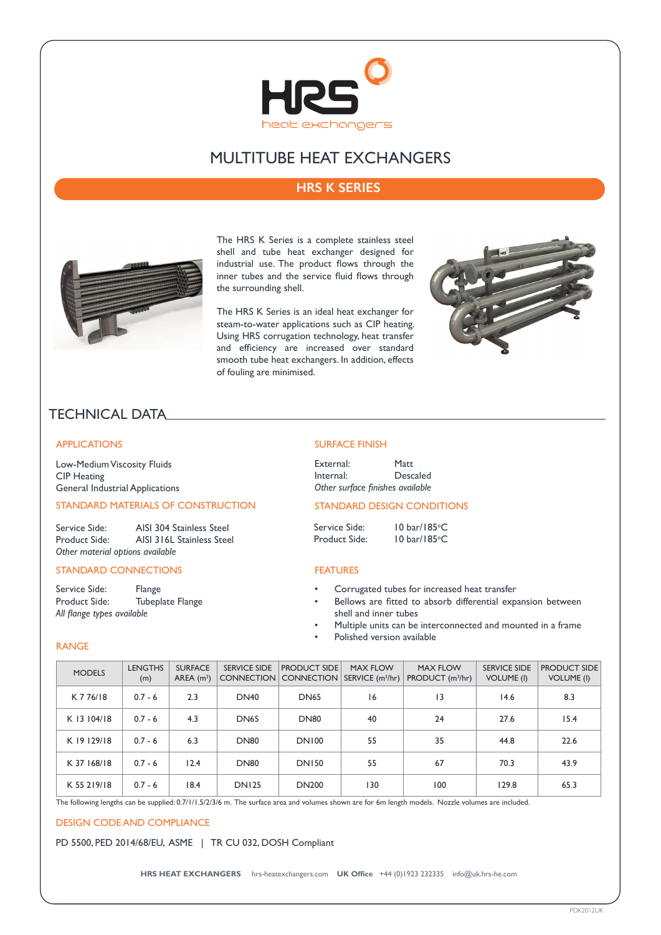

# MULTITUBE HEAT EXCHANGERS

# **HRS K SERIES**



The HRS K Series is a complete stainless steel shell and tube heat exchanger designed for industrial use. The product flows through the inner tubes and the service fluid flows through the surrounding shell.

The HRS K Series is an ideal heat exchanger for steam-to-water applications such as CIP heating. Using HRS corrugation technology, heat transfer and efficiency are increased over standard smooth tube heat exchangers. In addition, effects of fouling are minimised.



# TECHNICAL DATA

## APPLICATIONS

Low-Medium Viscosity Fluids CIP Heating General Industrial Applications

# STANDARD MATERIALS OF CONSTRUCTION

Service Side: AISI 304 Stainless Steel<br>Product Side: AISI 316L Stainless Stee AISI 316L Stainless Steel *Other material options available*

## STANDARD CONNECTIONS

Service Side: Flange<br>Product Side: Tubepl Tubeplate Flange *All flange types available*

#### SURFACE FINISH

| External: | <b>Matt</b>                      |
|-----------|----------------------------------|
| Internal: | Descaled                         |
|           | Other surface finishes available |

# STANDARD DESIGN CONDITIONS

Service Side: Product Side:

#### FEATURES

• Corrugated tubes for increased heat transfer

10 bar/185°C

10 bar/185°C

- Bellows are fitted to absorb differential expansion between shell and inner tubes
- Multiple units can be interconnected and mounted in a frame
- Polished version available

## RANGE

| <b>MODELS</b> | <b>LENGTHS</b><br>(m) | <b>SURFACE</b><br>AREA $(m2)$ | <b>SERVICE SIDE</b> | <b>PRODUCT SIDE</b><br>CONNECTION CONNECTION | <b>MAX FLOW</b><br>SERVICE (m <sup>3</sup> /hr) | <b>MAX FLOW</b><br>PRODUCT (m <sup>3</sup> /hr) | <b>SERVICE SIDE</b><br><b>VOLUME (I)</b> | <b>PRODUCT SIDE</b><br><b>VOLUME (I)</b> |
|---------------|-----------------------|-------------------------------|---------------------|----------------------------------------------|-------------------------------------------------|-------------------------------------------------|------------------------------------------|------------------------------------------|
| K 7 76/18     | $0.7 - 6$             | 2.3                           | <b>DN40</b>         | <b>DN65</b>                                  | 16                                              | 13                                              | 14.6                                     | 8.3                                      |
| K 13 104/18   | $0.7 - 6$             | 4.3                           | <b>DN65</b>         | <b>DN80</b>                                  | 40                                              | 24                                              | 27.6                                     | 15.4                                     |
| K 19 129/18   | $0.7 - 6$             | 6.3                           | DN80                | <b>DN100</b>                                 | 55                                              | 35                                              | 44.8                                     | 22.6                                     |
| K 37 168/18   | $0.7 - 6$             | 12.4                          | <b>DN80</b>         | <b>DN150</b>                                 | 55                                              | 67                                              | 70.3                                     | 43.9                                     |
| K 55 219/18   | $0.7 - 6$             | 18.4                          | <b>DN125</b>        | <b>DN200</b>                                 | 130                                             | 100                                             | 129.8                                    | 65.3                                     |

The following lengths can be supplied: 0.7/1/1.5/2/3/6 m. The surface area and volumes shown are for 6m length models. Nozzle volumes are included.

#### DESIGN CODE AND COMPLIANCE

PD 5500, PED 2014/68/EU, ASME | TR CU 032, DOSH Compliant

**HRS HEAT EXCHANGERS** hrs-heatexchangers.com **UK Office** +44 (0)1923 232335 info@uk.hrs-he.com